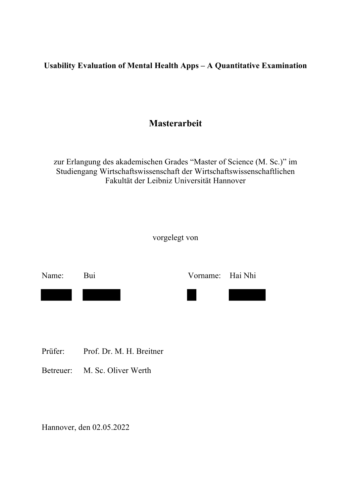**Usability Evaluation of Mental Health Apps – A Quantitative Examination**

# **Masterarbeit**

zur Erlangung des akademischen Grades "Master of Science (M. Sc.)" im Studiengang Wirtschaftswissenschaft der Wirtschaftswissenschaftlichen Fakultät der Leibniz Universität Hannover

vorgelegt von



- Prüfer: Prof. Dr. M. H. Breitner
- Betreuer: M. Sc. Oliver Werth

Hannover, den 02.05.2022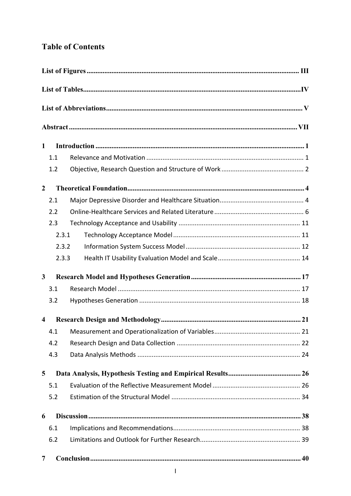## **Table of Contents**

| $\mathbf{1}$            |       |  |  |  |
|-------------------------|-------|--|--|--|
|                         | 1.1   |  |  |  |
|                         | 1.2   |  |  |  |
| $\overline{2}$          |       |  |  |  |
|                         | 2.1   |  |  |  |
|                         | 2.2   |  |  |  |
|                         | 2.3   |  |  |  |
|                         | 2.3.1 |  |  |  |
| 2.3.2                   |       |  |  |  |
|                         | 2.3.3 |  |  |  |
| $\mathbf{3}$            |       |  |  |  |
|                         | 3.1   |  |  |  |
|                         | 3.2   |  |  |  |
| $\overline{\mathbf{4}}$ |       |  |  |  |
|                         | 4.1   |  |  |  |
|                         | 4.2   |  |  |  |
|                         | 4.3   |  |  |  |
| 5                       |       |  |  |  |
|                         | 5.1   |  |  |  |
|                         | 5.2   |  |  |  |
| 6                       |       |  |  |  |
|                         | 6.1   |  |  |  |
|                         | 6.2   |  |  |  |
| 7                       |       |  |  |  |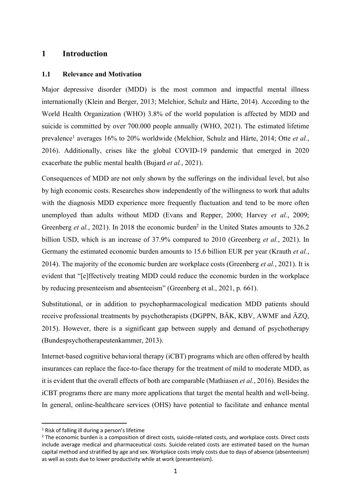### **1 Introduction**

#### **1.1 Relevance and Motivation**

Major depressive disorder (MDD) is the most common and impactful mental illness internationally (Klein and Berger, 2013; Melchior, Schulz and Härte, 2014). According to the World Health Organization (WHO) 3.8% of the world population is affected by MDD and suicide is committed by over 700.000 people annually (WHO, 2021). The estimated lifetime prevalence1 averages 16% to 20% worldwide (Melchior, Schulz and Härte, 2014; Otte *et al.*, 2016). Additionally, crises like the global COVID-19 pandemic that emerged in 2020 exacerbate the public mental health (Bujard *et al.*, 2021).

Consequences of MDD are not only shown by the sufferings on the individual level, but also by high economic costs. Researches show independently of the willingness to work that adults with the diagnosis MDD experience more frequently fluctuation and tend to be more often unemployed than adults without MDD (Evans and Repper, 2000; Harvey *et al.*, 2009; Greenberg *et al.*, 2021). In 2018 the economic burden<sup>2</sup> in the United States amounts to 326.2 billion USD, which is an increase of 37.9% compared to 2010 (Greenberg *et al.*, 2021). In Germany the estimated economic burden amounts to 15.6 billion EUR per year (Krauth *et al.*, 2014). The majority of the economic burden are workplace costs (Greenberg *et al.*, 2021). It is evident that "[e]ffectively treating MDD could reduce the economic burden in the workplace by reducing presenteeism and absenteeism" (Greenberg et al., 2021, p. 661).

Substitutional, or in addition to psychopharmacological medication MDD patients should receive professional treatments by psychotherapists (DGPPN, BÄK, KBV, AWMF and ÄZQ, 2015). However, there is a significant gap between supply and demand of psychotherapy (Bundespsychotherapeutenkammer, 2013).

Internet-based cognitive behavioral therapy (iCBT) programs which are often offered by health insurances can replace the face-to-face therapy for the treatment of mild to moderate MDD, as it is evident that the overall effects of both are comparable (Mathiasen *et al.*, 2016). Besides the iCBT programs there are many more applications that target the mental health and well-being. In general, online-healthcare services (OHS) have potential to facilitate and enhance mental

<sup>&</sup>lt;sup>1</sup> Risk of falling ill during a person's lifetime

<sup>&</sup>lt;sup>2</sup> The economic burden is a composition of direct costs, suicide-related costs, and workplace costs. Direct costs include average medical and pharmaceutical costs. Suicide-related costs are estimated based on the human capital method and stratified by age and sex. Workplace costs imply costs due to days of absence (absenteeism) as well as costs due to lower productivity while at work (presenteeism).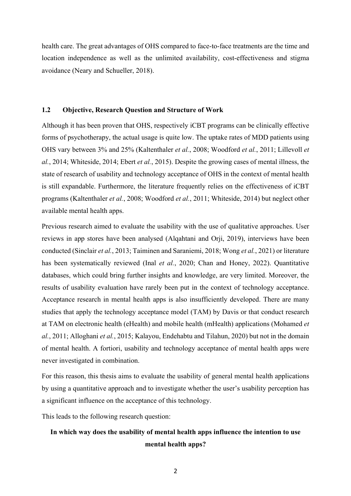health care. The great advantages of OHS compared to face-to-face treatments are the time and location independence as well as the unlimited availability, cost-effectiveness and stigma avoidance (Neary and Schueller, 2018).

#### **1.2 Objective, Research Question and Structure of Work**

Although it has been proven that OHS, respectively iCBT programs can be clinically effective forms of psychotherapy, the actual usage is quite low. The uptake rates of MDD patients using OHS vary between 3% and 25% (Kaltenthaler *et al.*, 2008; Woodford *et al.*, 2011; Lillevoll *et al.*, 2014; Whiteside, 2014; Ebert *et al.*, 2015). Despite the growing cases of mental illness, the state of research of usability and technology acceptance of OHS in the context of mental health is still expandable. Furthermore, the literature frequently relies on the effectiveness of iCBT programs (Kaltenthaler *et al.*, 2008; Woodford *et al.*, 2011; Whiteside, 2014) but neglect other available mental health apps.

Previous research aimed to evaluate the usability with the use of qualitative approaches. User reviews in app stores have been analysed (Alqahtani and Orji, 2019), interviews have been conducted (Sinclair *et al.*, 2013; Taiminen and Saraniemi, 2018; Wong *et al.*, 2021) or literature has been systematically reviewed (Inal *et al.*, 2020; Chan and Honey, 2022). Quantitative databases, which could bring further insights and knowledge, are very limited. Moreover, the results of usability evaluation have rarely been put in the context of technology acceptance. Acceptance research in mental health apps is also insufficiently developed. There are many studies that apply the technology acceptance model (TAM) by Davis or that conduct research at TAM on electronic health (eHealth) and mobile health (mHealth) applications (Mohamed *et al.*, 2011; Alloghani *et al.*, 2015; Kalayou, Endehabtu and Tilahun, 2020) but not in the domain of mental health. A fortiori, usability and technology acceptance of mental health apps were never investigated in combination.

For this reason, this thesis aims to evaluate the usability of general mental health applications by using a quantitative approach and to investigate whether the user's usability perception has a significant influence on the acceptance of this technology.

This leads to the following research question:

## **In which way does the usability of mental health apps influence the intention to use mental health apps?**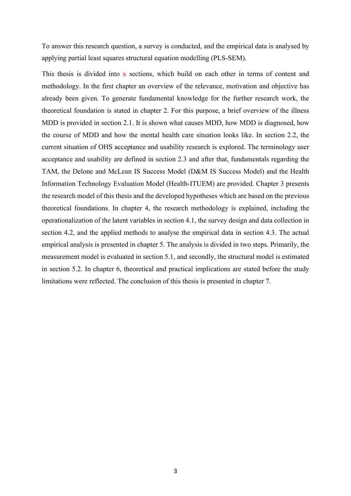To answer this research question, a survey is conducted, and the empirical data is analysed by applying partial least squares structural equation modelling (PLS-SEM).

This thesis is divided into x sections, which build on each other in terms of content and methodology. In the first chapter an overview of the relevance, motivation and objective has already been given. To generate fundamental knowledge for the further research work, the theoretical foundation is stated in chapter 2. For this purpose, a brief overview of the illness MDD is provided in section 2.1. It is shown what causes MDD, how MDD is diagnosed, how the course of MDD and how the mental health care situation looks like. In section 2.2, the current situation of OHS acceptance and usability research is explored. The terminology user acceptance and usability are defined in section 2.3 and after that, fundamentals regarding the TAM, the Delone and McLean IS Success Model (D&M IS Success Model) and the Health Information Technology Evaluation Model (Health-ITUEM) are provided. Chapter 3 presents the research model of this thesis and the developed hypotheses which are based on the previous theoretical foundations. In chapter 4, the research methodology is explained, including the operationalization of the latent variables in section 4.1, the survey design and data collection in section 4.2, and the applied methods to analyse the empirical data in section 4.3. The actual empirical analysis is presented in chapter 5. The analysis is divided in two steps. Primarily, the measurement model is evaluated in section 5.1, and secondly, the structural model is estimated in section 5.2. In chapter 6, theoretical and practical implications are stated before the study limitations were reflected. The conclusion of this thesis is presented in chapter 7.